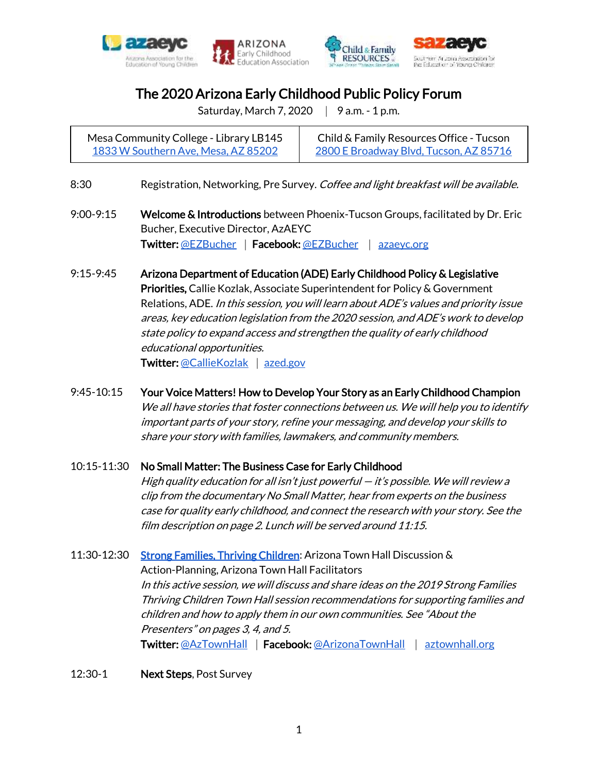







# The 2020 Arizona Early Childhood Public Policy Forum

Saturday, March 7, 2020 | 9 a.m. - 1 p.m.

Mesa Community College - Library LB145 [1833 W Southern Ave, Mesa, AZ 85202](https://goo.gl/maps/CW35qaBgnMY9wNm39)

Child & Family Resources Office - Tucson [2800 E Broadway Blvd, Tucson, AZ 85716](https://g.page/cfraz?share)

- 8:30 Registration, Networking, Pre Survey. Coffee and light breakfast will be available.
- 9:00-9:15 Welcome & Introductions between Phoenix-Tucson Groups, facilitated by Dr. Eric Bucher, Executive Director, AzAEYC Twitter: [@EZBucher](https://twitter.com/ezbucher) | Facebook[: @EZBucher](https://www.facebook.com/ezbucher) | azaeyc.org
- 9:15-9:45 Arizona Department of Education (ADE) Early Childhood Policy & Legislative Priorities, Callie Kozlak, Associate Superintendent for Policy & Government Relations, ADE. In this session, you will learn about ADE's values and priority issue areas, key education legislation from the 2020 session, and ADE's work to develop state policy to expand access and strengthen the quality of early childhood educational opportunities. Twitter: [@CallieKozlak](https://twitter.com/calliekozlak) [azed.gov](http://www.azed.gov/)
- 9:45-10:15 Your Voice Matters! How to Develop Your Story as an Early Childhood Champion We all have stories that foster connections between us. We will help you to identify important parts of your story, refine your messaging, and develop your skills to share your story with families, lawmakers, and community members.

### 10:15-11:30 No Small Matter: The Business Case for Early Childhood

 High quality education for all isn't just powerful — it's possible. We will review a clip from the documentary No Small Matter, hear from experts on the business case for quality early childhood, and connect the research with your story. See the film description on page 2. Lunch will be served around 11:15.

- 11:30-12:30 [Strong Families, Thriving Children:](http://aztownhall.org/112_Town_Hall) Arizona Town Hall Discussion & Action-Planning, Arizona Town Hall Facilitators In this active session, we will discuss and share ideas on the 2019 Strong Families Thriving Children Town Hall session recommendations for supporting families and children and how to apply them in our own communities. See "About the Presenters" on pages 3, 4, and 5. Twitter: [@AzTownHall](https://twitter.com/aztownhall) | Facebook[: @ArizonaTownHall](https://www.facebook.com/ArizonaTownHall/) | aztownhall.org
- 12:30-1 Next Steps, Post Survey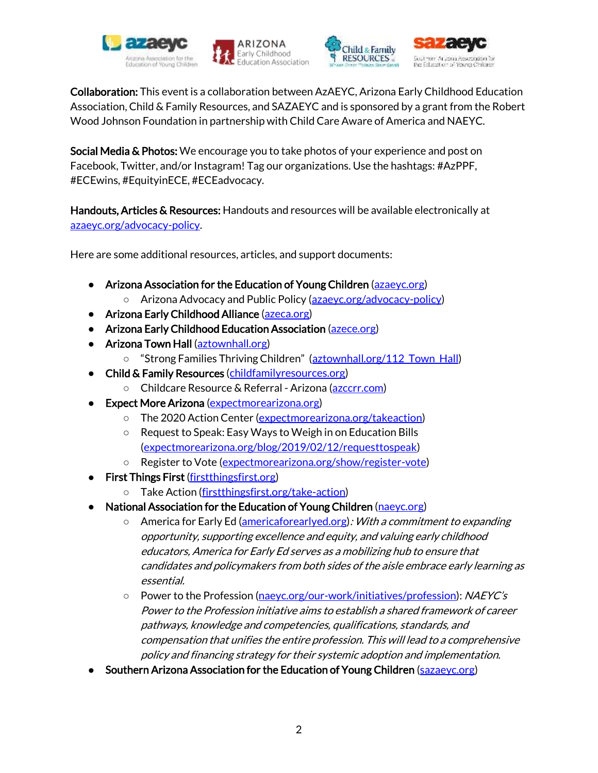







Collaboration: This event is a collaboration between AzAEYC, Arizona Early Childhood Education Association, Child & Family Resources, and SAZAEYC and is sponsored by a grant from the Robert Wood Johnson Foundation in partnership with Child Care Aware of America and NAEYC.

Social Media & Photos: We encourage you to take photos of your experience and post on Facebook, Twitter, and/or Instagram! Tag our organizations. Use the hashtags: #AzPPF, #ECEwins, #EquityinECE, #ECEadvocacy.

Handouts, Articles & Resources: Handouts and resources will be available electronically at [azaeyc.org/advocacy-policy.](https://www.azaeyc.org/advance-our-profession/advocacy-policy-arizona/)

Here are some additional resources, articles, and support documents:

- [Arizona Association for the Education of Young Children \(azaeyc.org\)](https://www.azaeyc.org/)
	- [Arizona Advocacy and Public Policy](http://www.azaeyc.org/advance-our-profession/advocacy-policy-arizona) [\(azaeyc.org/advocacy-policy\)](https://www.azaeyc.org/advance-our-profession/advocacy-policy-arizona/)
- [Arizona Early Childhood Alliance \(azeca.org\)](https://azeca.org/)
- [Arizona Early Childhood Education Association \(azece.org\)](http://azece.org/)
- [Arizona Town Hall \(aztownhall.org\)](http://aztownhall.org/)
	- ["Strong Families Thriving Children"](http://aztownhall.org/resources/Documents/112%20Strong%20Families%20Thriving%20Children/112%20Strong%20Families%20Thriving%20Children%20Highlights%20web.pdf) (aztownhall.org/112 Town Hall)
- [Child & Family Resources \(childfamilyresources.org\)](https://www.childfamilyresources.org/)
	- [Childcare Resource & Referral -](https://www.azccrr.com/) Arizona [\(azccrr.com\)](https://www.azccrr.com/)
- **Expect More Arizona** (expectmorearizona.org)
	- o [The 2020 Action Center](https://www.expectmorearizona.org/takeaction/) [\(expectmorearizona.org/takeaction\)](https://www.expectmorearizona.org/takeaction/)
	- Request to Speak: Easy Ways to Weigh in on Education Bills [\(expectmorearizona.org/blog/2019/02/12/requesttospeak\)](https://www.expectmorearizona.org/blog/2019/02/12/requesttospeak/)
	- [Register to Vote](https://www.expectmorearizona.org/show/register-vote/) [\(expectmorearizona.org/show/register-vote\)](https://www.expectmorearizona.org/show/register-vote/)
- **[First Things First \(firstthingsfirst.org\)](https://www.firstthingsfirst.org/)** 
	- [Take Action](https://www.firstthingsfirst.org/take-action/) [\(firstthingsfirst.org/take-action\)](https://www.firstthingsfirst.org/take-action/)
- **National Association for the Education of Young Children** (naeyc.org)
	- [America for Early Ed](http://americaforearlyed.org/resources/) [\(americaforearlyed.org\)](http://americaforearlyed.org/): With a commitment to expanding opportunity, supporting excellence and equity, and valuing early childhood educators, America for Early Ed serves as a mobilizing hub to ensure that candidates and policymakers from both sides of the aisle embrace early learning as essential.
	- [Power to the Profession](https://www.naeyc.org/our-work/initiatives/profession) [\(naeyc.org/our-work/initiatives/profession\)](https://www.naeyc.org/our-work/initiatives/profession): NAEYC's Power to the Profession initiative aims to establish a shared framework of career pathways, knowledge and competencies, qualifications, standards, and compensation that unifies the entire profession. This will lead to a comprehensive policy and financing strategy for their systemic adoption and implementation.
- **Southern Arizona Association for the Education of Young Children** (sazaeyc.org)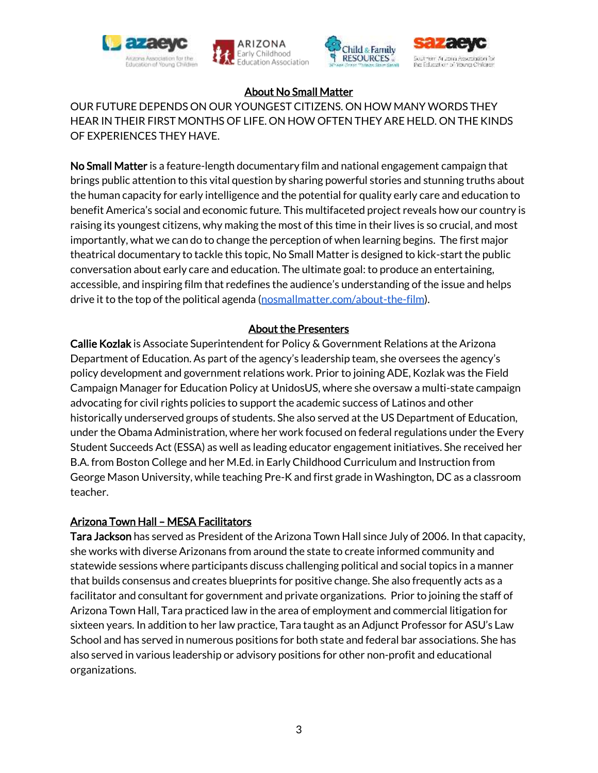







# About No Small Matter

OUR FUTURE DEPENDS ON OUR YOUNGEST CITIZENS. ON HOW MANY WORDS THEY HEAR IN THEIR FIRST MONTHS OF LIFE. ON HOW OFTEN THEY ARE HELD. ON THE KINDS OF EXPERIENCES THEY HAVE.

No Small Matter is a feature-length documentary film and national engagement campaign that brings public attention to this vital question by sharing powerful stories and stunning truths about the human capacity for early intelligence and the potential for quality early care and education to benefit America's social and economic future. This multifaceted project reveals how our country is raising its youngest citizens, why making the most of this time in their lives is so crucial, and most importantly, what we can do to change the perception of when learning begins. The first major theatrical documentary to tackle this topic, No Small Matter is designed to kick-start the public conversation about early care and education. The ultimate goal: to produce an entertaining, accessible, and inspiring film that redefines the audience's understanding of the issue and helps drive it to the top of the political agenda [\(nosmallmatter.com/about-the-film\)](https://www.nosmallmatter.com/about-the-film).

## About the Presenters

Callie Kozlak is Associate Superintendent for Policy & Government Relations at the Arizona Department of Education. As part of the agency's leadership team, she oversees the agency's policy development and government relations work. Prior to joining ADE, Kozlak was the Field Campaign Manager for Education Policy at UnidosUS, where she oversaw a multi-state campaign advocating for civil rights policies to support the academic success of Latinos and other historically underserved groups of students. She also served at the US Department of Education, under the Obama Administration, where her work focused on federal regulations under the Every Student Succeeds Act (ESSA) as well as leading educator engagement initiatives. She received her B.A. from Boston College and her M.Ed. in Early Childhood Curriculum and Instruction from George Mason University, while teaching Pre-K and first grade in Washington, DC as a classroom teacher.

### Arizona Town Hall – MESA Facilitators

Tara Jackson has served as President of the Arizona Town Hall since July of 2006. In that capacity, she works with diverse Arizonans from around the state to create informed community and statewide sessions where participants discuss challenging political and social topics in a manner that builds consensus and creates blueprints for positive change. She also frequently acts as a facilitator and consultant for government and private organizations. Prior to joining the staff of Arizona Town Hall, Tara practiced law in the area of employment and commercial litigation for sixteen years. In addition to her law practice, Tara taught as an Adjunct Professor for ASU's Law School and has served in numerous positions for both state and federal bar associations. She has also served in various leadership or advisory positions for other non-profit and educational organizations.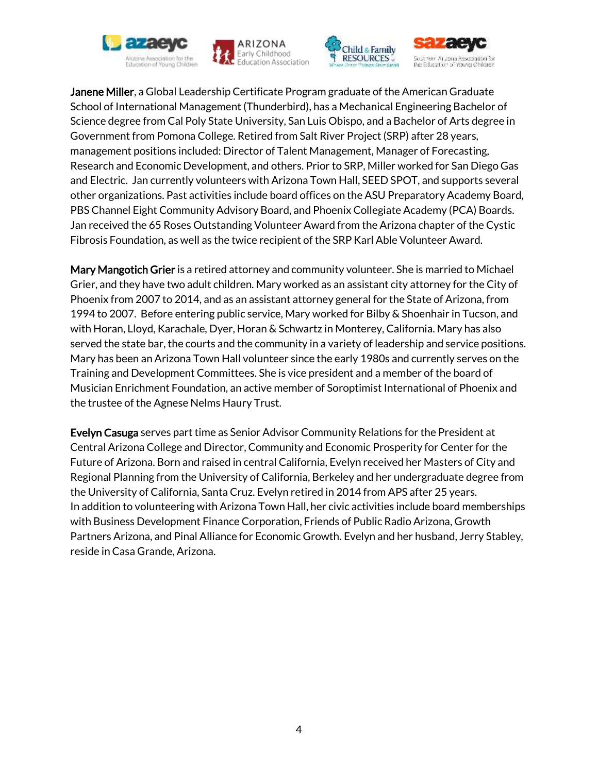





the Education of Young Children

Janene Miller, a Global Leadership Certificate Program graduate of the American Graduate School of International Management (Thunderbird), has a Mechanical Engineering Bachelor of Science degree from Cal Poly State University, San Luis Obispo, and a Bachelor of Arts degree in Government from Pomona College. Retired from Salt River Project (SRP) after 28 years, management positions included: Director of Talent Management, Manager of Forecasting, Research and Economic Development, and others. Prior to SRP, Miller worked for San Diego Gas and Electric. Jan currently volunteers with Arizona Town Hall, SEED SPOT, and supports several other organizations. Past activities include board offices on the ASU Preparatory Academy Board, PBS Channel Eight Community Advisory Board, and Phoenix Collegiate Academy (PCA) Boards. Jan received the 65 Roses Outstanding Volunteer Award from the Arizona chapter of the Cystic Fibrosis Foundation, as well as the twice recipient of the SRP Karl Able Volunteer Award.

Mary Mangotich Grier is a retired attorney and community volunteer. She is married to Michael Grier, and they have two adult children. Mary worked as an assistant city attorney for the City of Phoenix from 2007 to 2014, and as an assistant attorney general for the State of Arizona, from 1994 to 2007. Before entering public service, Mary worked for Bilby & Shoenhair in Tucson, and with Horan, Lloyd, Karachale, Dyer, Horan & Schwartz in Monterey, California. Mary has also served the state bar, the courts and the community in a variety of leadership and service positions. Mary has been an Arizona Town Hall volunteer since the early 1980s and currently serves on the Training and Development Committees. She is vice president and a member of the board of Musician Enrichment Foundation, an active member of Soroptimist International of Phoenix and the trustee of the Agnese Nelms Haury Trust.

Evelyn Casuga serves part time as Senior Advisor Community Relations for the President at Central Arizona College and Director, Community and Economic Prosperity for Center for the Future of Arizona. Born and raised in central California, Evelyn received her Masters of City and Regional Planning from the University of California, Berkeley and her undergraduate degree from the University of California, Santa Cruz. Evelyn retired in 2014 from APS after 25 years. In addition to volunteering with Arizona Town Hall, her civic activities include board memberships with Business Development Finance Corporation, Friends of Public Radio Arizona, Growth Partners Arizona, and Pinal Alliance for Economic Growth. Evelyn and her husband, Jerry Stabley, reside in Casa Grande, Arizona.